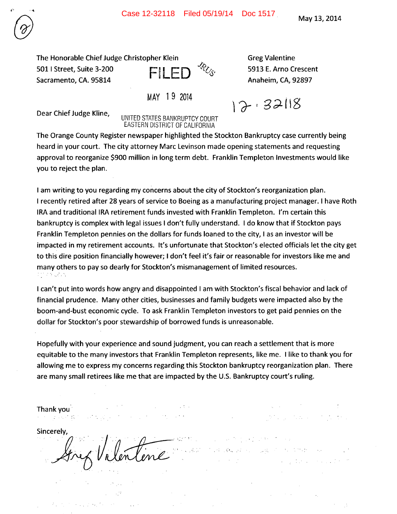The Honorable Chief Judge Christopher Klein Greeg Valentine 501 I Street, Suite 3-200 **FILED**  $\mathcal{L}_{\mathcal{S}}$  5913 E. Arno Crescent<br>Sacramento, CA. 95814 **FILED** Anaheim, CA, 92897 Sacramento, CA. 95814



 $12.32118$ 

Dear Chief Judge Kline,

UNITED STATES BANKRUPTCY COURT EASTERN DISTRICT OF CALIFORNIA

MAY 19 2014

The Orange County Register newspaper highlighted the Stockton Bankruptcy case currently being heard in your court. The city attorney Marc Levinson made opening statements and requesting approval to reorganize \$900 million in long term debt. Franklin Templeton Investments would like you to reject the plan.

I am writing to you regarding my concerns about the city of Stockton's reorganization plan. I recently retired after 28 years of service to Boeing as a manufacturing project manager. I have Roth IRA and traditional IRA retirement funds invested with Franklin Templeton. I'm certain this bankruptcy is complex with legal issues I don't fully understand. I do know that if Stockton pays Franklin Templeton pennies on the dollars for funds loaned to the city, I as an investor will be impacted in my retirement accounts. It's unfortunate that Stockton's elected officials let the city get to this dire position financially however; I don't feel it's fair or reasonable for investors like me and many others to pay so dearly for Stockton's mismanagement of limited resources.<br>In the state

I can't put into words how angry and disappointed I am with Stockton's fiscal behavior and lack of financial prudence. Many other cities, businesses and family budgets were impacted also by the boom-and-bust economic cycle. To ask Franklin Templeton investors to get paid pennies on the dollar for Stockton's poor stewardship of borrowed funds is unreasonable.

Hopefully with your experience and sound judgment, you can reach a settlement that is more equitable to the many investors that Franklin Templeton represents, like me. Ilike to thank you for allowing me to express my concerns regarding this Stockton bankruptcy reorganization plan. There are many small retirees like me that are impacted by the U.S. Bankruptcy court's ruling.

Thankyou  $\mathcal{L}_{\rm{max}}$ バイン かいけぬり State of the Committee of

医心包 医大脑子宫切除术 **PROGRAMMENT** 

a ng dunian

Sincerely.

support the product of the